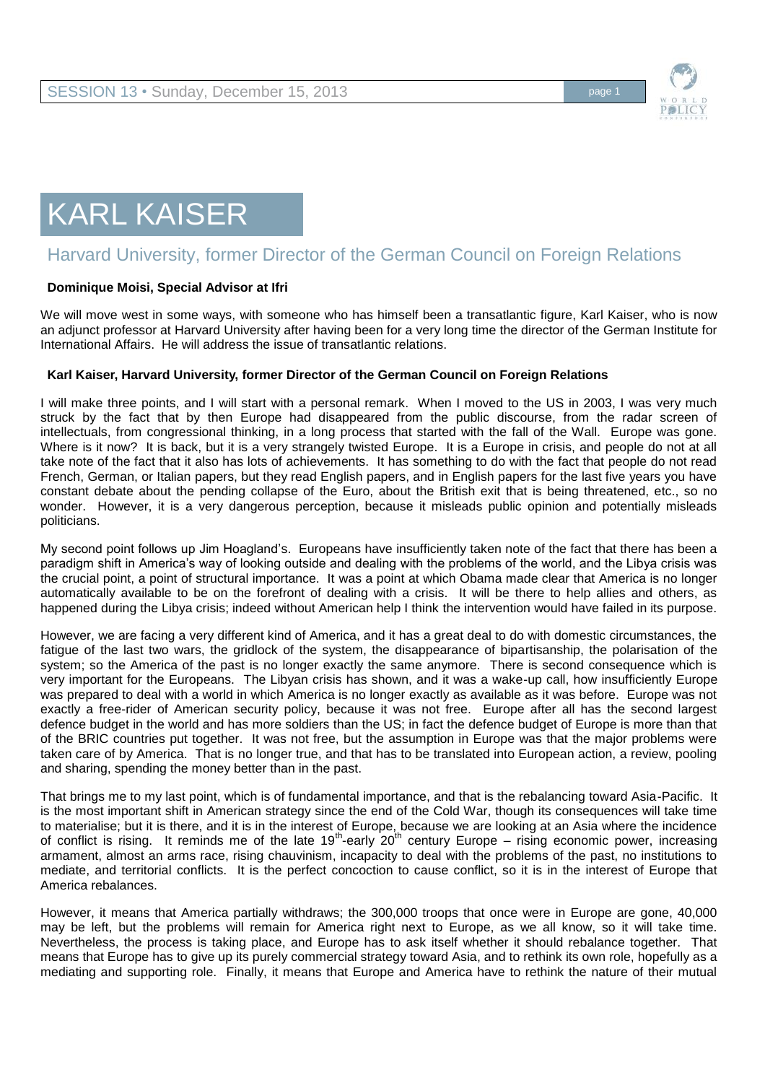

## KARL KAISER

## Harvard University, former Director of the German Council on Foreign Relations

## **Dominique Moisi, Special Advisor at Ifri**

We will move west in some ways, with someone who has himself been a transatlantic figure, Karl Kaiser, who is now an adjunct professor at Harvard University after having been for a very long time the director of the German Institute for International Affairs. He will address the issue of transatlantic relations.

## **Karl Kaiser, Harvard University, former Director of the German Council on Foreign Relations**

I will make three points, and I will start with a personal remark. When I moved to the US in 2003, I was very much struck by the fact that by then Europe had disappeared from the public discourse, from the radar screen of intellectuals, from congressional thinking, in a long process that started with the fall of the Wall. Europe was gone. Where is it now? It is back, but it is a very strangely twisted Europe. It is a Europe in crisis, and people do not at all take note of the fact that it also has lots of achievements. It has something to do with the fact that people do not read French, German, or Italian papers, but they read English papers, and in English papers for the last five years you have constant debate about the pending collapse of the Euro, about the British exit that is being threatened, etc., so no wonder. However, it is a very dangerous perception, because it misleads public opinion and potentially misleads politicians.

My second point follows up Jim Hoagland's. Europeans have insufficiently taken note of the fact that there has been a paradigm shift in America's way of looking outside and dealing with the problems of the world, and the Libya crisis was the crucial point, a point of structural importance. It was a point at which Obama made clear that America is no longer automatically available to be on the forefront of dealing with a crisis. It will be there to help allies and others, as happened during the Libya crisis; indeed without American help I think the intervention would have failed in its purpose.

However, we are facing a very different kind of America, and it has a great deal to do with domestic circumstances, the fatigue of the last two wars, the gridlock of the system, the disappearance of bipartisanship, the polarisation of the system; so the America of the past is no longer exactly the same anymore. There is second consequence which is very important for the Europeans. The Libyan crisis has shown, and it was a wake-up call, how insufficiently Europe was prepared to deal with a world in which America is no longer exactly as available as it was before. Europe was not exactly a free-rider of American security policy, because it was not free. Europe after all has the second largest defence budget in the world and has more soldiers than the US; in fact the defence budget of Europe is more than that of the BRIC countries put together. It was not free, but the assumption in Europe was that the major problems were taken care of by America. That is no longer true, and that has to be translated into European action, a review, pooling and sharing, spending the money better than in the past.

That brings me to my last point, which is of fundamental importance, and that is the rebalancing toward Asia-Pacific. It is the most important shift in American strategy since the end of the Cold War, though its consequences will take time to materialise; but it is there, and it is in the interest of Europe, because we are looking at an Asia where the incidence of conflict is rising. It reminds me of the late 19<sup>th</sup>-early 20<sup>th</sup> century Europe – rising economic power, increasing armament, almost an arms race, rising chauvinism, incapacity to deal with the problems of the past, no institutions to mediate, and territorial conflicts. It is the perfect concoction to cause conflict, so it is in the interest of Europe that America rebalances.

However, it means that America partially withdraws; the 300,000 troops that once were in Europe are gone, 40,000 may be left, but the problems will remain for America right next to Europe, as we all know, so it will take time. Nevertheless, the process is taking place, and Europe has to ask itself whether it should rebalance together. That means that Europe has to give up its purely commercial strategy toward Asia, and to rethink its own role, hopefully as a mediating and supporting role. Finally, it means that Europe and America have to rethink the nature of their mutual